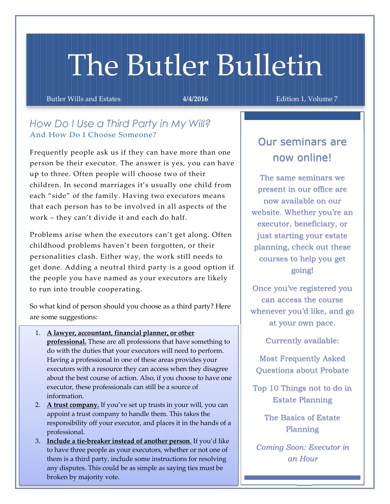# The Butler Bulletin

Butler Wills and Estates **6 Australian 1. Edition 1. Volume 7** Australian 1. Volume 7

# *How Do I Use a Third Party in My Will?* And How Do I Choose Someone?

Frequently people ask us if they can have more than one person be their executor. The answer is yes, you can have up to three. Often people will choose two of their children. In second marriages it's usually one child from each "side" of the family. Having two executors means that each person has to be involved in all aspects of the work – they can't divide it and each do half.

Problems arise when the executors can't get along. Often childhood problems haven't been forgotten, or their personalities clash. Either way, the work still needs to get done. Adding a neutral third party is a good option if the people you have named as your executors are likely to run into trouble cooperating.

So what kind of person should you choose as a third party? Here are some suggestions:

- 1. A lawyer, accountant, financial planner, or other professional. These are all professions that have something to do with the duties that your executors will need to perform. Having a professional in one of these areas provides your executors with a resource they can access when they disagree about the best course of action. Also, if you choose to have one executor, these professionals can still be a source of information.
- 2. A trust company. If you've set up trusts in your will, you can appoint a trust company to handle them. This takes the responsibility off your executor, and places it in the hands of a professional.
- 3. Include a tie-breaker instead of another person. If you'd like to have three people as your executors, whether or not one of them is a third party, include some instructions for resolving any disputes. This could be as simple as saying ties must be broken by majority vote.

# Our seminars are now online!

The same seminars we present in our office are now available on our website. Whether you're an executor, beneficiary, or just starting your estate planning, check out these courses to help you get going!

Once you've registered you can access the course whenever you'd like, and go at your own pace.

Currently available:

Most Frequently Asked Questions about Probate

Top 10 Things not to do in Estate Planning

> The Basics of Estate Planning

*Coming Soon: Executor in an Hour*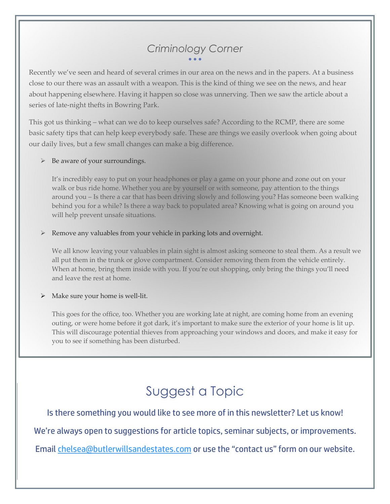# *Criminology Corner*  $\bullet$   $\bullet$   $\bullet$

Recently we've seen and heard of several crimes in our area on the news and in the papers. At a business close to our there was an assault with a weapon. This is the kind of thing we see on the news, and hear about happening elsewhere. Having it happen so close was unnerving. Then we saw the article about a series of late-night thefts in Bowring Park.

This got us thinking – what can we do to keep ourselves safe? According to the RCMP, there are some basic safety tips that can help keep everybody safe. These are things we easily overlook when going about our daily lives, but a few small changes can make a big difference.

#### $\triangleright$  Be aware of your surroundings.

It's incredibly easy to put on your headphones or play a game on your phone and zone out on your walk or bus ride home. Whether you are by yourself or with someone, pay attention to the things around you – Is there a car that has been driving slowly and following you? Has someone been walking behind you for a while? Is there a way back to populated area? Knowing what is going on around you will help prevent unsafe situations.

#### Remove any valuables from your vehicle in parking lots and overnight.

We all know leaving your valuables in plain sight is almost asking someone to steal them. As a result we all put them in the trunk or glove compartment. Consider removing them from the vehicle entirely. When at home, bring them inside with you. If you're out shopping, only bring the things you'll need and leave the rest at home.

#### $\triangleright$  Make sure your home is well-lit.

This goes for the office, too. Whether you are working late at night, are coming home from an evening outing, or were home before it got dark, it's important to make sure the exterior of your home is lit up. This will discourage potential thieves from approaching your windows and doors, and make it easy for you to see if something has been disturbed.

# Suggest a Topic

Is there something you would like to see more of in this newsletter? Let us know!

We're always open to suggestions for article topics, seminar subjects, or improvements.

Email chelsea@butlerwillsandestates.com or use the "contact us" form on our website.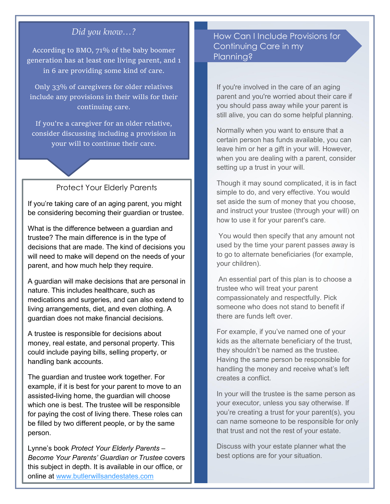## *Did you know…?*

According to BMO, 71% of the baby boomer generation has at least one living parent, and 1 in 6 are providing some kind of care.

Only 33% of caregivers for older relatives include any provisions in their wills for their continuing care.

If you're a caregiver for an older relative, consider discussing including a provision in your will to continue their care.

#### Protect Your Elderly Parents

If you're taking care of an aging parent, you might be considering becoming their guardian or trustee.

What is the difference between a guardian and trustee? The main difference is in the type of decisions that are made. The kind of decisions you will need to make will depend on the needs of your parent, and how much help they require.

A guardian will make decisions that are personal in nature. This includes healthcare, such as medications and surgeries, and can also extend to living arrangements, diet, and even clothing. A guardian does not make financial decisions.

A trustee is responsible for decisions about money, real estate, and personal property. This could include paying bills, selling property, or handling bank accounts.

The guardian and trustee work together. For example, if it is best for your parent to move to an assisted-living home, the guardian will choose which one is best. The trustee will be responsible for paying the cost of living there. These roles can be filled by two different people, or by the same person.

Lynne's book *Protect Your Elderly Parents – Become Your Parents' Guardian or Trustee* covers this subject in depth. It is available in our office, or online at www.butlerwillsandestates.com

### How Can I Include Provisions for Continuing Care in my Planning?

If you're involved in the care of an aging parent and you're worried about their care if you should pass away while your parent is still alive, you can do some helpful planning.

Normally when you want to ensure that a certain person has funds available, you can leave him or her a gift in your will. However, when you are dealing with a parent, consider setting up a trust in your will.

Though it may sound complicated, it is in fact simple to do, and very effective. You would set aside the sum of money that you choose, and instruct your trustee (through your will) on how to use it for your parent's care.

You would then specify that any amount not used by the time your parent passes away is to go to alternate beneficiaries (for example, your children).

An essential part of this plan is to choose a trustee who will treat your parent compassionately and respectfully. Pick someone who does not stand to benefit if there are funds left over.

For example, if you've named one of your kids as the alternate beneficiary of the trust, they shouldn't be named as the trustee. Having the same person be responsible for handling the money and receive what's left creates a conflict.

In your will the trustee is the same person as your executor, unless you say otherwise. If you're creating a trust for your parent(s), you can name someone to be responsible for only that trust and not the rest of your estate.

Discuss with your estate planner what the best options are for your situation.